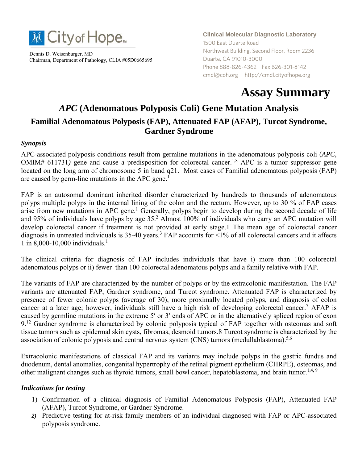

Dennis D. Weisenburger, MD Chairman, Department of Pathology, CLIA #05D0665695 **Clinical Molecular Diagnostic Laboratory** 1500 East Duarte Road Northwest Building, Second Floor, Room 2236 Duarte, CA 91010-3000 Phone 888-826-4362 Fax 626-301-8142 cmdl@coh.org http://cmdl.cityofhope.org

# **Assay Summary**

# *APC* **(Adenomatous Polyposis Coli) Gene Mutation Analysis Familial Adenomatous Polyposis (FAP), Attenuated FAP (AFAP), Turcot Syndrome, Gardner Syndrome**

#### *Synopsis*

APC-associated polyposis conditions result from germline mutations in the adenomatous polyposis coli (*APC,*   $OMIM# 611731)$  gene and cause a predisposition for colorectal cancer.<sup>1,8</sup> APC is a tumor suppressor gene located on the long arm of chromosome 5 in band q21. Most cases of Familial adenomatous polyposis (FAP) are caused by germ-line mutations in the APC gene.<sup>1</sup>

FAP is an autosomal dominant inherited disorder characterized by hundreds to thousands of adenomatous polyps multiple polyps in the internal lining of the colon and the rectum. However, up to 30 % of FAP cases arise from new mutations in APC gene.<sup>1</sup> Generally, polyps begin to develop during the second decade of life and 95% of individuals have polyps by age  $35<sup>2</sup>$  Almost 100% of individuals who carry an APC mutation will develop colorectal cancer if treatment is not provided at early stage.1 The mean age of colorectal cancer diagnosis in untreated individuals is  $35-40$  years.<sup>3</sup> FAP accounts for <1% of all colorectal cancers and it affects 1 in 8,000-10,000 individuals.<sup>1</sup>

The clinical criteria for diagnosis of FAP includes individuals that have i) more than 100 colorectal adenomatous polyps or ii) fewer than 100 colorectal adenomatous polyps and a family relative with FAP.

The variants of FAP are characterized by the number of polyps or by the extracolonic manifestation. The FAP variants are attenuated FAP, Gardner syndrome, and Turcot syndrome. Attenuated FAP is characterized by presence of fewer colonic polyps (average of 30), more proximally located polyps, and diagnosis of colon cancer at a later age; however, individuals still have a high risk of developing colorectal cancer.<sup>7</sup> AFAP is caused by germline mutations in the extreme 5′ or 3′ ends of APC or in the alternatively spliced region of exon 9.<sup>12</sup> Gardner syndrome is characterized by colonic polyposis typical of FAP together with osteomas and soft tissue tumors such as epidermal skin cysts, fibromas, desmoid tumors.8 Turcot syndrome is characterized by the association of colonic polyposis and central nervous system (CNS) tumors (medullablastoma).<sup>5,6</sup>

Extracolonic manifestations of classical FAP and its variants may include polyps in the gastric fundus and duodenum, dental anomalies, congenital hypertrophy of the retinal pigment epithelium (CHRPE), osteomas, and other malignant changes such as thyroid tumors, small bowl cancer, hepatoblastoma, and brain tumor.<sup>1,4, 9</sup>

#### *Indications for testing*

- 1) Confirmation of a clinical diagnosis of Familial Adenomatous Polyposis (FAP), Attenuated FAP (AFAP), Turcot Syndrome, or Gardner Syndrome.
- *2)* Predictive testing for at-risk family members of an individual diagnosed with FAP or APC-associated polyposis syndrome.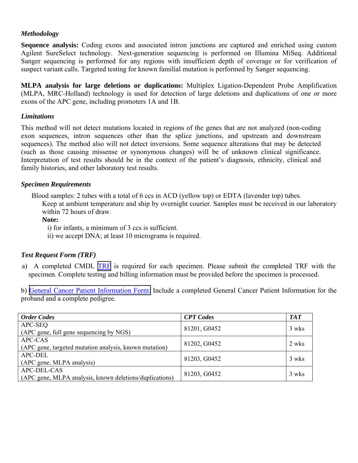#### *Methodology*

**Sequence analysis:** Coding exons and associated intron junctions are captured and enriched using custom Agilent SureSelect technology. Next-generation sequencing is performed on Illumina MiSeq. Additional Sanger sequencing is performed for any regions with insufficient depth of coverage or for verification of suspect variant calls. Targeted testing for known familial mutation is performed by Sanger sequencing.

**MLPA analysis for large deletions or duplications:** Multiplex Ligation-Dependent Probe Amplification (MLPA, MRC-Holland) technology is used for detection of large deletions and duplications of one or more exons of the APC gene, including promoters 1A and 1B.

# *Limitations*

This method will not detect mutations located in regions of the genes that are not analyzed (non-coding exon sequences, intron sequences other than the splice junctions, and upstream and downstream sequences). The method also will not detect inversions. Some sequence alterations that may be detected (such as those causing missense or synonymous changes) will be of unknown clinical significance. Interpretation of test results should be in the context of the patient's diagnosis, ethnicity, clinical and family histories, and other laboratory test results.

# *Specimen Requirements*

Blood samples: 2 tubes with a total of 6 ccs in ACD (yellow top) or EDTA (lavender top) tubes.

Keep at ambient temperature and ship by overnight courier. Samples must be received in our laboratory within 72 hours of draw.

# **Note:**

i) for infants, a minimum of 3 ccs is sufficient.

ii) we accept DNA; at least 10 micrograms is required.

# *Test Request Form (TRF)*

a) A completed CMDL [TRF](https://www.cityofhope.org/clinical-molecular-diagnostic-laboratory/cmdl-forms) is required for each specimen. Please submit the completed TRF with the specimen. Complete testing and billing information must be provided before the specimen is processed.

b) [General Cancer Patient Information Form:](https://www.cityofhope.org/clinical-molecular-diagnostic-laboratory/cmdl-forms) Include a completed General Cancer Patient Information for the proband and a complete pedigree.

| <b>Order Codes</b>                                      | <b>CPT</b> Codes | <b>TAT</b> |
|---------------------------------------------------------|------------------|------------|
| APC-SEQ                                                 | 81201, G0452     | 3 wks      |
| (APC gene, full gene sequencing by NGS)                 |                  |            |
| APC-CAS                                                 | 81202, G0452     | 2 wks      |
| (APC gene, targeted mutation analysis, known mutation)  |                  |            |
| <b>APC-DEL</b>                                          | 81203, G0452     | 3 wks      |
| (APC gene, MLPA analysis)                               |                  |            |
| APC-DEL-CAS                                             | 81203, G0452     | 3 wks      |
| (APC gene, MLPA analysis, known deletions/duplications) |                  |            |